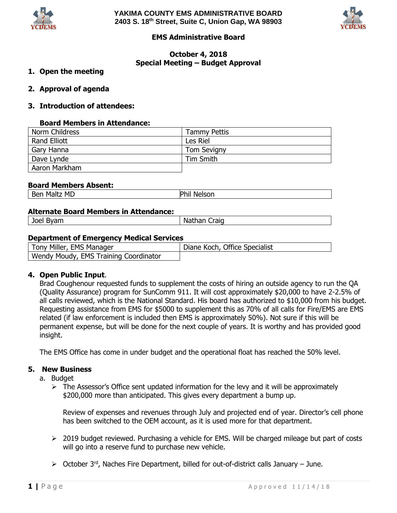



# **EMS Administrative Board**

# **October 4, 2018 Special Meeting – Budget Approval**

## **1. Open the meeting**

**2. Approval of agenda**

## **3. Introduction of attendees:**

#### **Board Members in Attendance:**

| Norm Childress      | <b>Tammy Pettis</b> |
|---------------------|---------------------|
| <b>Rand Elliott</b> | Les Riel            |
| Gary Hanna          | <b>Tom Sevigny</b>  |
| Dave Lynde          | Tim Smith           |
| Aaron Markham       |                     |

#### **Board Members Absent:**

| MD<br>$\sim$<br>.<br>¬ ।+<br>M.<br>ne,<br>È<br>____ |
|-----------------------------------------------------|
|-----------------------------------------------------|

#### **Alternate Board Members in Attendance:**

Joel Byam Nathan Craig

## **Department of Emergency Medical Services**

| Tony Miller, EMS Manager              | Diane Koch, Office Specialist |
|---------------------------------------|-------------------------------|
| Wendy Moudy, EMS Training Coordinator |                               |

## **4. Open Public Input**.

Brad Coughenour requested funds to supplement the costs of hiring an outside agency to run the QA (Quality Assurance) program for SunComm 911. It will cost approximately \$20,000 to have 2-2.5% of all calls reviewed, which is the National Standard. His board has authorized to \$10,000 from his budget. Requesting assistance from EMS for \$5000 to supplement this as 70% of all calls for Fire/EMS are EMS related (if law enforcement is included then EMS is approximately 50%). Not sure if this will be permanent expense, but will be done for the next couple of years. It is worthy and has provided good insight.

The EMS Office has come in under budget and the operational float has reached the 50% level.

#### **5. New Business**

- a. Budget
	- $\triangleright$  The Assessor's Office sent updated information for the levy and it will be approximately \$200,000 more than anticipated. This gives every department a bump up.

Review of expenses and revenues through July and projected end of year. Director's cell phone has been switched to the OEM account, as it is used more for that department.

- ▶ 2019 budget reviewed. Purchasing a vehicle for EMS. Will be charged mileage but part of costs will go into a reserve fund to purchase new vehicle.
- $\triangleright$  October 3<sup>rd</sup>, Naches Fire Department, billed for out-of-district calls January June.